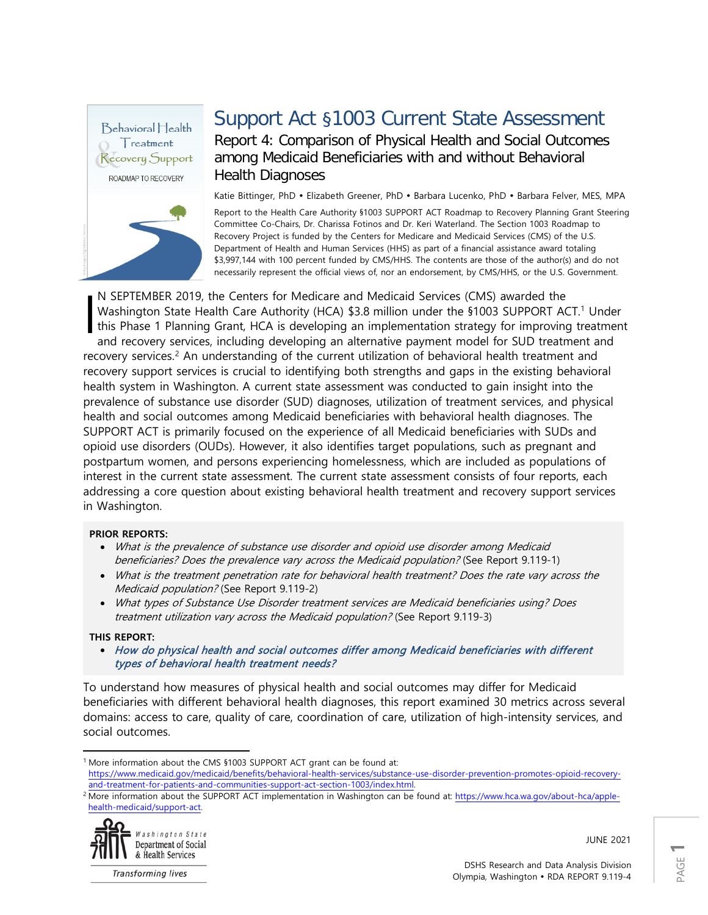

# Support Act §1003 Current State Assessment

Report 4: Comparison of Physical Health and Social Outcomes among Medicaid Beneficiaries with and without Behavioral Health Diagnoses

Katie Bittinger, PhD · Elizabeth Greener, PhD · Barbara Lucenko, PhD · Barbara Felver, MES, MPA

Report to the Health Care Authority §1003 SUPPORT ACT Roadmap to Recovery Planning Grant Steering Committee Co-Chairs, Dr. Charissa Fotinos and Dr. Keri Waterland. The Section 1003 Roadmap to Recovery Project is funded by the Centers for Medicare and Medicaid Services (CMS) of the U.S. Department of Health and Human Services (HHS) as part of a financial assistance award totaling \$3,997,144 with 100 percent funded by CMS/HHS. The contents are those of the author(s) and do not necessarily represent the official views of, nor an endorsement, by CMS/HHS, or the U.S. Government.

N SEPTEMBER 2019, the Centers for Medicare and Medicaid Services (CMS) awarded the Washington State Health Care Authority (HCA) \$3.8 million under the §[1](#page-0-0)003 SUPPORT ACT.<sup>1</sup> Under this Phase 1 Planning Grant, HCA is developing an implementation strategy for improving treatment and recovery services, including developing an alternative payment model for SUD treatment and recovery services.<sup>[2](#page-0-1)</sup> An understanding of the current utilization of behavioral health treatment and recovery support services is crucial to identifying both strengths and gaps in the existing behavioral health system in Washington. A current state assessment was conducted to gain insight into the prevalence of substance use disorder (SUD) diagnoses, utilization of treatment services, and physical health and social outcomes among Medicaid beneficiaries with behavioral health diagnoses. The SUPPORT ACT is primarily focused on the experience of all Medicaid beneficiaries with SUDs and opioid use disorders (OUDs). However, it also identifies target populations, such as pregnant and postpartum women, and persons experiencing homelessness, which are included as populations of interest in the current state assessment. The current state assessment consists of four reports, each addressing a core question about existing behavioral health treatment and recovery support services in Washington. I

#### **PRIOR REPORTS:**

- What is the prevalence of substance use disorder and opioid use disorder among Medicaid beneficiaries? Does the prevalence vary across the Medicaid population? (See Report 9.119-1)
- What is the treatment penetration rate for behavioral health treatment? Does the rate vary across the Medicaid population? (See Report 9.119-2)
- What types of Substance Use Disorder treatment services are Medicaid beneficiaries using? Does treatment utilization vary across the Medicaid population? (See Report 9.119-3)

#### **THIS REPORT:**

• How do physical health and social outcomes differ among Medicaid beneficiaries with different types of behavioral health treatment needs?

To understand how measures of physical health and social outcomes may differ for Medicaid beneficiaries with different behavioral health diagnoses, this report examined 30 metrics across several domains: access to care, quality of care, coordination of care, utilization of high-intensity services, and social outcomes.

<span id="page-0-1"></span><sup>&</sup>lt;sup>2</sup> More information about the SUPPORT ACT implementation in Washington can be found at[: https://www.hca.wa.gov/about-hca/apple](https://www.hca.wa.gov/about-hca/apple-health-medicaid/support-act)[health-medicaid/support-act.](https://www.hca.wa.gov/about-hca/apple-health-medicaid/support-act)



**Transforming lives** 

JUNE 2021

<span id="page-0-0"></span> $\overline{a}$ <sup>1</sup> More information about the CMS §1003 SUPPORT ACT grant can be found at:

[https://www.medicaid.gov/medicaid/benefits/behavioral-health-services/substance-use-disorder-prevention-promotes-opioid-recovery](https://www.medicaid.gov/medicaid/benefits/behavioral-health-services/substance-use-disorder-prevention-promotes-opioid-recovery-and-treatment-for-patients-and-communities-support-act-section-1003/index.html)[and-treatment-for-patients-and-communities-support-act-section-1003/index.html.](https://www.medicaid.gov/medicaid/benefits/behavioral-health-services/substance-use-disorder-prevention-promotes-opioid-recovery-and-treatment-for-patients-and-communities-support-act-section-1003/index.html)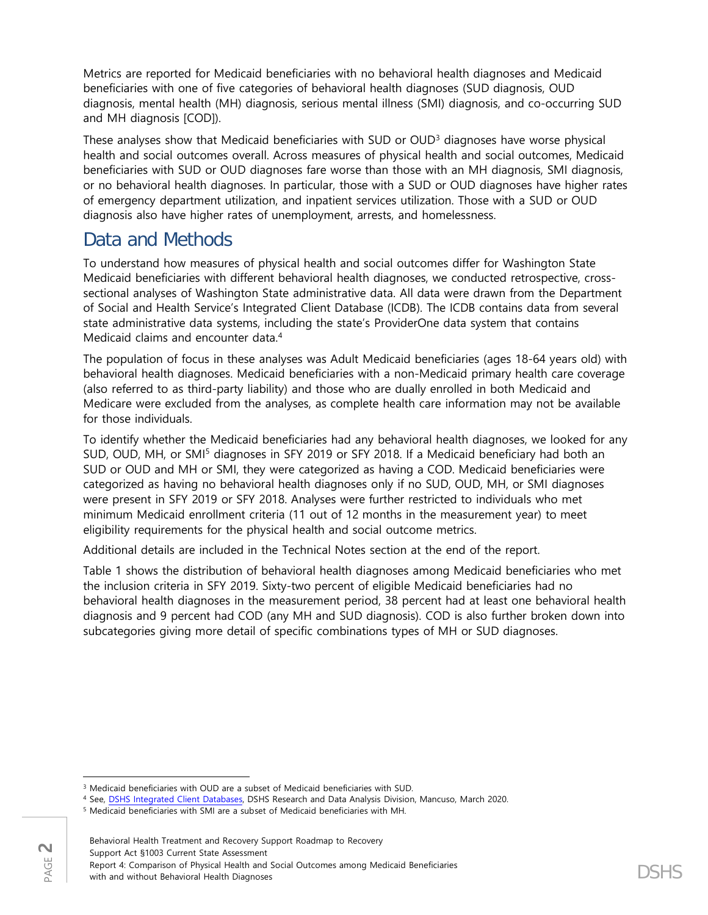Metrics are reported for Medicaid beneficiaries with no behavioral health diagnoses and Medicaid beneficiaries with one of five categories of behavioral health diagnoses (SUD diagnosis, OUD diagnosis, mental health (MH) diagnosis, serious mental illness (SMI) diagnosis, and co-occurring SUD and MH diagnosis [COD]).

These analyses show that Medicaid beneficiaries with SUD or OUD[3](#page-1-0) diagnoses have worse physical health and social outcomes overall. Across measures of physical health and social outcomes, Medicaid beneficiaries with SUD or OUD diagnoses fare worse than those with an MH diagnosis, SMI diagnosis, or no behavioral health diagnoses. In particular, those with a SUD or OUD diagnoses have higher rates of emergency department utilization, and inpatient services utilization. Those with a SUD or OUD diagnosis also have higher rates of unemployment, arrests, and homelessness.

## Data and Methods

To understand how measures of physical health and social outcomes differ for Washington State Medicaid beneficiaries with different behavioral health diagnoses, we conducted retrospective, crosssectional analyses of Washington State administrative data. All data were drawn from the Department of Social and Health Service's Integrated Client Database (ICDB). The ICDB contains data from several state administrative data systems, including the state's ProviderOne data system that contains Medicaid claims and encounter data.[4](#page-1-1)

The population of focus in these analyses was Adult Medicaid beneficiaries (ages 18-64 years old) with behavioral health diagnoses. Medicaid beneficiaries with a non-Medicaid primary health care coverage (also referred to as third-party liability) and those who are dually enrolled in both Medicaid and Medicare were excluded from the analyses, as complete health care information may not be available for those individuals.

To identify whether the Medicaid beneficiaries had any behavioral health diagnoses, we looked for any SUD, OUD, MH, or SMI<sup>[5](#page-1-2)</sup> diagnoses in SFY 2019 or SFY 2018. If a Medicaid beneficiary had both an SUD or OUD and MH or SMI, they were categorized as having a COD. Medicaid beneficiaries were categorized as having no behavioral health diagnoses only if no SUD, OUD, MH, or SMI diagnoses were present in SFY 2019 or SFY 2018. Analyses were further restricted to individuals who met minimum Medicaid enrollment criteria (11 out of 12 months in the measurement year) to meet eligibility requirements for the physical health and social outcome metrics.

Additional details are included in the Technical Notes section at the end of the report.

Table 1 shows the distribution of behavioral health diagnoses among Medicaid beneficiaries who met the inclusion criteria in SFY 2019. Sixty-two percent of eligible Medicaid beneficiaries had no behavioral health diagnoses in the measurement period, 38 percent had at least one behavioral health diagnosis and 9 percent had COD (any MH and SUD diagnosis). COD is also further broken down into subcategories giving more detail of specific combinations types of MH or SUD diagnoses.

 $\overline{\phantom{a}}$ <sup>3</sup> Medicaid beneficiaries with OUD are a subset of Medicaid beneficiaries with SUD.

<span id="page-1-1"></span><span id="page-1-0"></span><sup>4</sup> See, [DSHS Integrated Client Databases,](https://www.dshs.wa.gov/ffa/rda/research-reports/dshs-integrated-client-databases) DSHS Research and Data Analysis Division, Mancuso, March 2020.

<span id="page-1-2"></span><sup>5</sup> Medicaid beneficiaries with SMI are a subset of Medicaid beneficiaries with MH.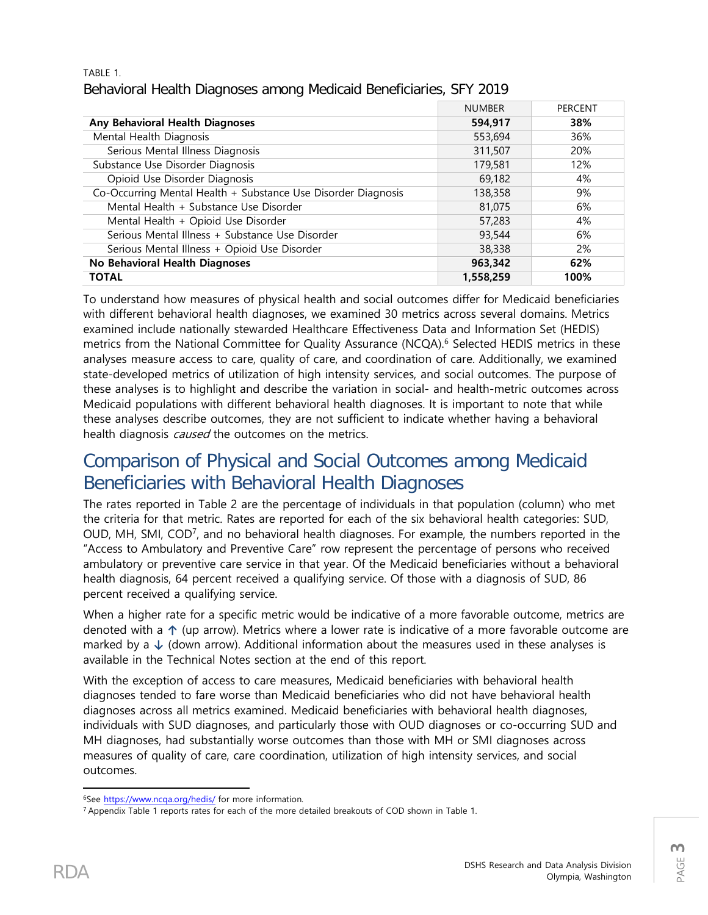#### TABLE 1. Behavioral Health Diagnoses among Medicaid Beneficiaries, SFY 2019

|                                                               | <b>NUMBER</b> | PERCENT |
|---------------------------------------------------------------|---------------|---------|
| Any Behavioral Health Diagnoses                               | 594.917       | 38%     |
| Mental Health Diagnosis                                       | 553,694       | 36%     |
| Serious Mental Illness Diagnosis                              | 311,507       | 20%     |
| Substance Use Disorder Diagnosis                              | 179,581       | 12%     |
| Opioid Use Disorder Diagnosis                                 | 69,182        | 4%      |
| Co-Occurring Mental Health + Substance Use Disorder Diagnosis | 138,358       | 9%      |
| Mental Health + Substance Use Disorder                        | 81,075        | 6%      |
| Mental Health + Opioid Use Disorder                           | 57,283        | 4%      |
| Serious Mental Illness + Substance Use Disorder               | 93,544        | 6%      |
| Serious Mental Illness + Opioid Use Disorder                  | 38,338        | 2%      |
| No Behavioral Health Diagnoses                                | 963.342       | 62%     |
| <b>TOTAL</b>                                                  | 1,558,259     | 100%    |

To understand how measures of physical health and social outcomes differ for Medicaid beneficiaries with different behavioral health diagnoses, we examined 30 metrics across several domains. Metrics examined include nationally stewarded Healthcare Effectiveness Data and Information Set (HEDIS) metrics from the National Committee for Quality Assurance (NCQA). [6](#page-2-0) Selected HEDIS metrics in these analyses measure access to care, quality of care, and coordination of care. Additionally, we examined state-developed metrics of utilization of high intensity services, and social outcomes. The purpose of these analyses is to highlight and describe the variation in social- and health-metric outcomes across Medicaid populations with different behavioral health diagnoses. It is important to note that while these analyses describe outcomes, they are not sufficient to indicate whether having a behavioral health diagnosis *caused* the outcomes on the metrics.

## Comparison of Physical and Social Outcomes among Medicaid Beneficiaries with Behavioral Health Diagnoses

The rates reported in Table 2 are the percentage of individuals in that population (column) who met the criteria for that metric. Rates are reported for each of the six behavioral health categories: SUD, OUD, MH, SMI, COD[7](#page-2-1), and no behavioral health diagnoses. For example, the numbers reported in the "Access to Ambulatory and Preventive Care" row represent the percentage of persons who received ambulatory or preventive care service in that year. Of the Medicaid beneficiaries without a behavioral health diagnosis, 64 percent received a qualifying service. Of those with a diagnosis of SUD, 86 percent received a qualifying service.

When a higher rate for a specific metric would be indicative of a more favorable outcome, metrics are denoted with a **↑** (up arrow). Metrics where a lower rate is indicative of a more favorable outcome are marked by a **↓** (down arrow). Additional information about the measures used in these analyses is available in the Technical Notes section at the end of this report.

With the exception of access to care measures, Medicaid beneficiaries with behavioral health diagnoses tended to fare worse than Medicaid beneficiaries who did not have behavioral health diagnoses across all metrics examined. Medicaid beneficiaries with behavioral health diagnoses, individuals with SUD diagnoses, and particularly those with OUD diagnoses or co-occurring SUD and MH diagnoses, had substantially worse outcomes than those with MH or SMI diagnoses across measures of quality of care, care coordination, utilization of high intensity services, and social outcomes.

<span id="page-2-0"></span> $\overline{\phantom{a}}$ <sup>6</sup>Se[e https://www.ncqa.org/hedis/](https://www.ncqa.org/hedis/) for more information.

<span id="page-2-1"></span><sup>&</sup>lt;sup>7</sup> Appendix Table 1 reports rates for each of the more detailed breakouts of COD shown in Table 1.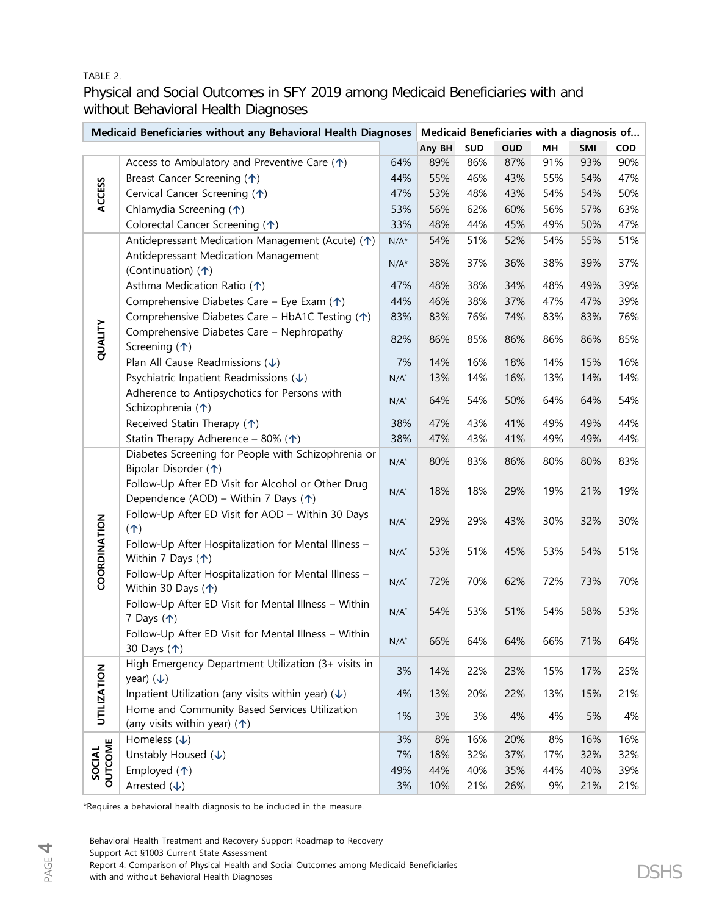#### TABLE 2.

Physical and Social Outcomes in SFY 2019 among Medicaid Beneficiaries with and without Behavioral Health Diagnoses

| Medicaid Beneficiaries without any Behavioral Health Diagnoses   Medicaid Beneficiaries with a diagnosis of |                                                                                                       |         |        |     |            |     |     |            |
|-------------------------------------------------------------------------------------------------------------|-------------------------------------------------------------------------------------------------------|---------|--------|-----|------------|-----|-----|------------|
|                                                                                                             |                                                                                                       |         | Any BH | SUD | <b>OUD</b> | MH  | SMI | <b>COD</b> |
| <b>ACCESS</b>                                                                                               | Access to Ambulatory and Preventive Care $(\uparrow)$                                                 | 64%     | 89%    | 86% | 87%        | 91% | 93% | 90%        |
|                                                                                                             | Breast Cancer Screening (个)                                                                           | 44%     | 55%    | 46% | 43%        | 55% | 54% | 47%        |
|                                                                                                             | Cervical Cancer Screening (1)                                                                         | 47%     | 53%    | 48% | 43%        | 54% | 54% | 50%        |
|                                                                                                             | Chlamydia Screening (个)                                                                               | 53%     | 56%    | 62% | 60%        | 56% | 57% | 63%        |
|                                                                                                             | Colorectal Cancer Screening (1)                                                                       | 33%     | 48%    | 44% | 45%        | 49% | 50% | 47%        |
|                                                                                                             | Antidepressant Medication Management (Acute) (1)                                                      | $N/A^*$ | 54%    | 51% | 52%        | 54% | 55% | 51%        |
|                                                                                                             | Antidepressant Medication Management<br>(Continuation) (个)                                            | $N/A^*$ | 38%    | 37% | 36%        | 38% | 39% | 37%        |
|                                                                                                             | Asthma Medication Ratio (1)                                                                           | 47%     | 48%    | 38% | 34%        | 48% | 49% | 39%        |
|                                                                                                             | Comprehensive Diabetes Care - Eye Exam $(\uparrow)$                                                   | 44%     | 46%    | 38% | 37%        | 47% | 47% | 39%        |
|                                                                                                             | Comprehensive Diabetes Care - HbA1C Testing (1)                                                       | 83%     | 83%    | 76% | 74%        | 83% | 83% | 76%        |
| QUALITY                                                                                                     | Comprehensive Diabetes Care - Nephropathy<br>Screening $($ <sup><math>\uparrow</math></sup> )         | 82%     | 86%    | 85% | 86%        | 86% | 86% | 85%        |
|                                                                                                             | Plan All Cause Readmissions $(\downarrow)$                                                            | 7%      | 14%    | 16% | 18%        | 14% | 15% | 16%        |
|                                                                                                             | Psychiatric Inpatient Readmissions $(\downarrow)$                                                     | $N/A^*$ | 13%    | 14% | 16%        | 13% | 14% | 14%        |
|                                                                                                             | Adherence to Antipsychotics for Persons with<br>Schizophrenia (个)                                     | $N/A^*$ | 64%    | 54% | 50%        | 64% | 64% | 54%        |
|                                                                                                             | Received Statin Therapy (1)                                                                           | 38%     | 47%    | 43% | 41%        | 49% | 49% | 44%        |
|                                                                                                             | Statin Therapy Adherence - 80% ( $\uparrow$ )                                                         | 38%     | 47%    | 43% | 41%        | 49% | 49% | 44%        |
| COORDINATION                                                                                                | Diabetes Screening for People with Schizophrenia or<br>Bipolar Disorder (1)                           | $N/A^*$ | 80%    | 83% | 86%        | 80% | 80% | 83%        |
|                                                                                                             | Follow-Up After ED Visit for Alcohol or Other Drug<br>Dependence (AOD) – Within 7 Days ( $\uparrow$ ) | $N/A^*$ | 18%    | 18% | 29%        | 19% | 21% | 19%        |
|                                                                                                             | Follow-Up After ED Visit for AOD - Within 30 Days<br>(1)                                              | $N/A^*$ | 29%    | 29% | 43%        | 30% | 32% | 30%        |
|                                                                                                             | Follow-Up After Hospitalization for Mental Illness -<br>Within 7 Days $($ <sup>1</sup> )              | $N/A^*$ | 53%    | 51% | 45%        | 53% | 54% | 51%        |
|                                                                                                             | Follow-Up After Hospitalization for Mental Illness -<br>Within 30 Days $($ <sup>*</sup> )             | $N/A^*$ | 72%    | 70% | 62%        | 72% | 73% | 70%        |
|                                                                                                             | Follow-Up After ED Visit for Mental Illness - Within<br>7 Days $($ <sup>1</sup> $)$                   | $N/A^*$ | 54%    | 53% | 51%        | 54% | 58% | 53%        |
|                                                                                                             | Follow-Up After ED Visit for Mental Illness - Within<br>30 Days (个)                                   | $N/A^*$ | 66%    | 64% | 64%        | 66% | 71% | 64%        |
| <b>UTILIZATION</b>                                                                                          | High Emergency Department Utilization (3+ visits in<br>year) $(\downarrow)$                           | 3%      | 14%    | 22% | 23%        | 15% | 17% | 25%        |
|                                                                                                             | Inpatient Utilization (any visits within year) $(\downarrow)$                                         | 4%      | 13%    | 20% | 22%        | 13% | 15% | 21%        |
|                                                                                                             | Home and Community Based Services Utilization                                                         |         |        |     |            |     |     |            |
|                                                                                                             | (any visits within year) $($ <sup><math>\uparrow</math></sup> )                                       | 1%      | 3%     | 3%  | 4%         | 4%  | 5%  | 4%         |
| OUTCOME<br>SOCIAL                                                                                           | Homeless $(\downarrow)$                                                                               | 3%      | 8%     | 16% | 20%        | 8%  | 16% | 16%        |
|                                                                                                             | Unstably Housed $(\downarrow)$                                                                        | 7%      | 18%    | 32% | 37%        | 17% | 32% | 32%        |
|                                                                                                             | Employed $($ <sup><math>\uparrow</math></sup> )                                                       | 49%     | 44%    | 40% | 35%        | 44% | 40% | 39%        |
|                                                                                                             | Arrested $(\downarrow)$                                                                               | 3%      | 10%    | 21% | 26%        | 9%  | 21% | 21%        |

\*Requires a behavioral health diagnosis to be included in the measure.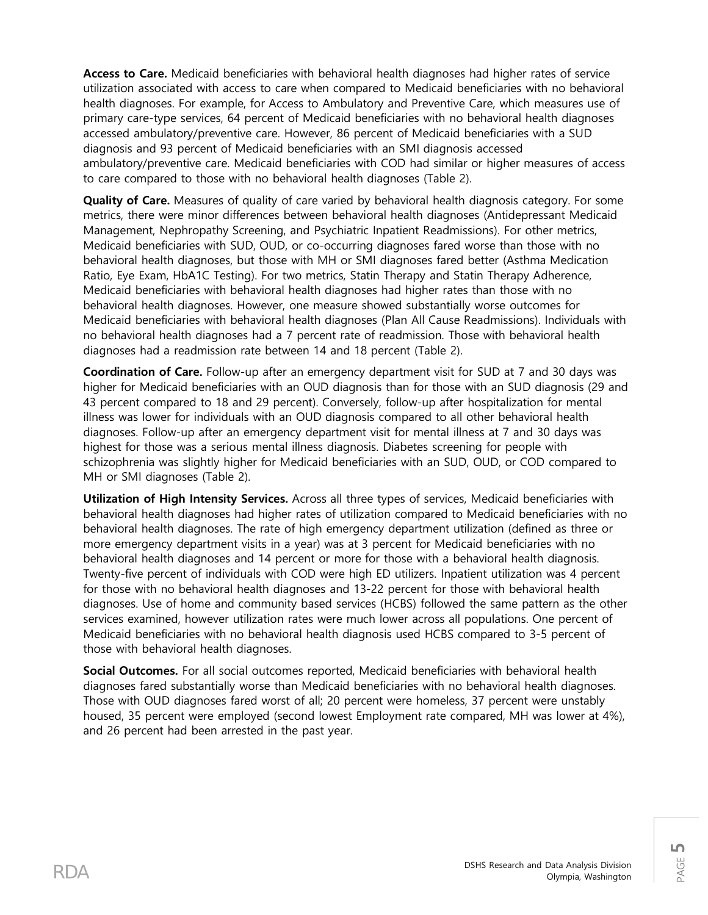**Access to Care.** Medicaid beneficiaries with behavioral health diagnoses had higher rates of service utilization associated with access to care when compared to Medicaid beneficiaries with no behavioral health diagnoses. For example, for Access to Ambulatory and Preventive Care, which measures use of primary care-type services, 64 percent of Medicaid beneficiaries with no behavioral health diagnoses accessed ambulatory/preventive care. However, 86 percent of Medicaid beneficiaries with a SUD diagnosis and 93 percent of Medicaid beneficiaries with an SMI diagnosis accessed ambulatory/preventive care. Medicaid beneficiaries with COD had similar or higher measures of access to care compared to those with no behavioral health diagnoses (Table 2).

**Quality of Care.** Measures of quality of care varied by behavioral health diagnosis category. For some metrics, there were minor differences between behavioral health diagnoses (Antidepressant Medicaid Management, Nephropathy Screening, and Psychiatric Inpatient Readmissions). For other metrics, Medicaid beneficiaries with SUD, OUD, or co-occurring diagnoses fared worse than those with no behavioral health diagnoses, but those with MH or SMI diagnoses fared better (Asthma Medication Ratio, Eye Exam, HbA1C Testing). For two metrics, Statin Therapy and Statin Therapy Adherence, Medicaid beneficiaries with behavioral health diagnoses had higher rates than those with no behavioral health diagnoses. However, one measure showed substantially worse outcomes for Medicaid beneficiaries with behavioral health diagnoses (Plan All Cause Readmissions). Individuals with no behavioral health diagnoses had a 7 percent rate of readmission. Those with behavioral health diagnoses had a readmission rate between 14 and 18 percent (Table 2).

**Coordination of Care.** Follow-up after an emergency department visit for SUD at 7 and 30 days was higher for Medicaid beneficiaries with an OUD diagnosis than for those with an SUD diagnosis (29 and 43 percent compared to 18 and 29 percent). Conversely, follow-up after hospitalization for mental illness was lower for individuals with an OUD diagnosis compared to all other behavioral health diagnoses. Follow-up after an emergency department visit for mental illness at 7 and 30 days was highest for those was a serious mental illness diagnosis. Diabetes screening for people with schizophrenia was slightly higher for Medicaid beneficiaries with an SUD, OUD, or COD compared to MH or SMI diagnoses (Table 2).

**Utilization of High Intensity Services.** Across all three types of services, Medicaid beneficiaries with behavioral health diagnoses had higher rates of utilization compared to Medicaid beneficiaries with no behavioral health diagnoses. The rate of high emergency department utilization (defined as three or more emergency department visits in a year) was at 3 percent for Medicaid beneficiaries with no behavioral health diagnoses and 14 percent or more for those with a behavioral health diagnosis. Twenty-five percent of individuals with COD were high ED utilizers. Inpatient utilization was 4 percent for those with no behavioral health diagnoses and 13-22 percent for those with behavioral health diagnoses. Use of home and community based services (HCBS) followed the same pattern as the other services examined, however utilization rates were much lower across all populations. One percent of Medicaid beneficiaries with no behavioral health diagnosis used HCBS compared to 3-5 percent of those with behavioral health diagnoses.

**Social Outcomes.** For all social outcomes reported, Medicaid beneficiaries with behavioral health diagnoses fared substantially worse than Medicaid beneficiaries with no behavioral health diagnoses. Those with OUD diagnoses fared worst of all; 20 percent were homeless, 37 percent were unstably housed, 35 percent were employed (second lowest Employment rate compared, MH was lower at 4%), and 26 percent had been arrested in the past year.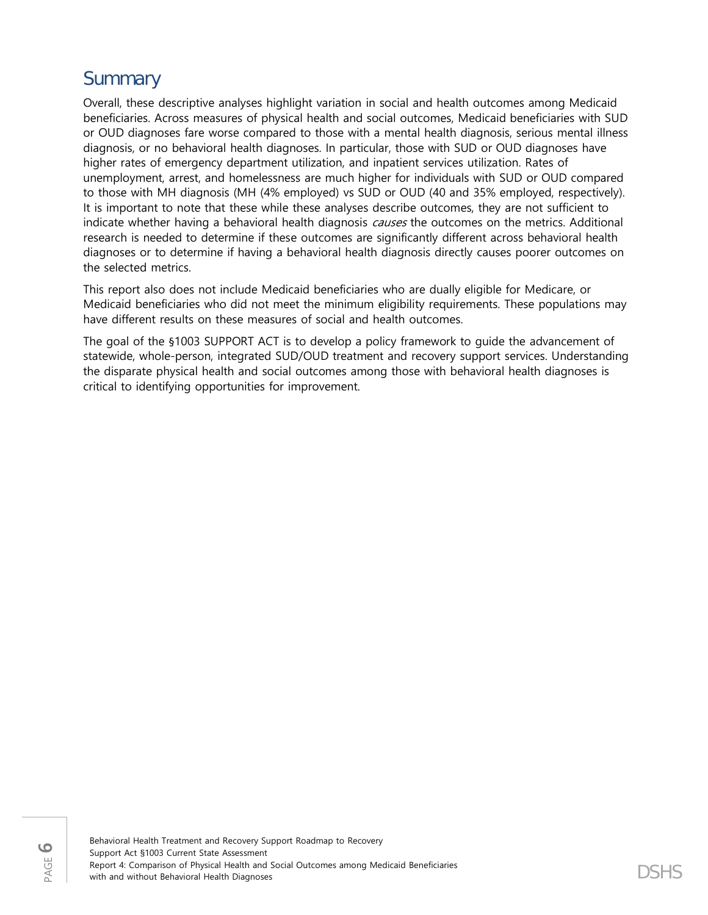# **Summary**

Overall, these descriptive analyses highlight variation in social and health outcomes among Medicaid beneficiaries. Across measures of physical health and social outcomes, Medicaid beneficiaries with SUD or OUD diagnoses fare worse compared to those with a mental health diagnosis, serious mental illness diagnosis, or no behavioral health diagnoses. In particular, those with SUD or OUD diagnoses have higher rates of emergency department utilization, and inpatient services utilization. Rates of unemployment, arrest, and homelessness are much higher for individuals with SUD or OUD compared to those with MH diagnosis (MH (4% employed) vs SUD or OUD (40 and 35% employed, respectively). It is important to note that these while these analyses describe outcomes, they are not sufficient to indicate whether having a behavioral health diagnosis causes the outcomes on the metrics. Additional research is needed to determine if these outcomes are significantly different across behavioral health diagnoses or to determine if having a behavioral health diagnosis directly causes poorer outcomes on the selected metrics.

This report also does not include Medicaid beneficiaries who are dually eligible for Medicare, or Medicaid beneficiaries who did not meet the minimum eligibility requirements. These populations may have different results on these measures of social and health outcomes.

The goal of the §1003 SUPPORT ACT is to develop a policy framework to guide the advancement of statewide, whole-person, integrated SUD/OUD treatment and recovery support services. Understanding the disparate physical health and social outcomes among those with behavioral health diagnoses is critical to identifying opportunities for improvement.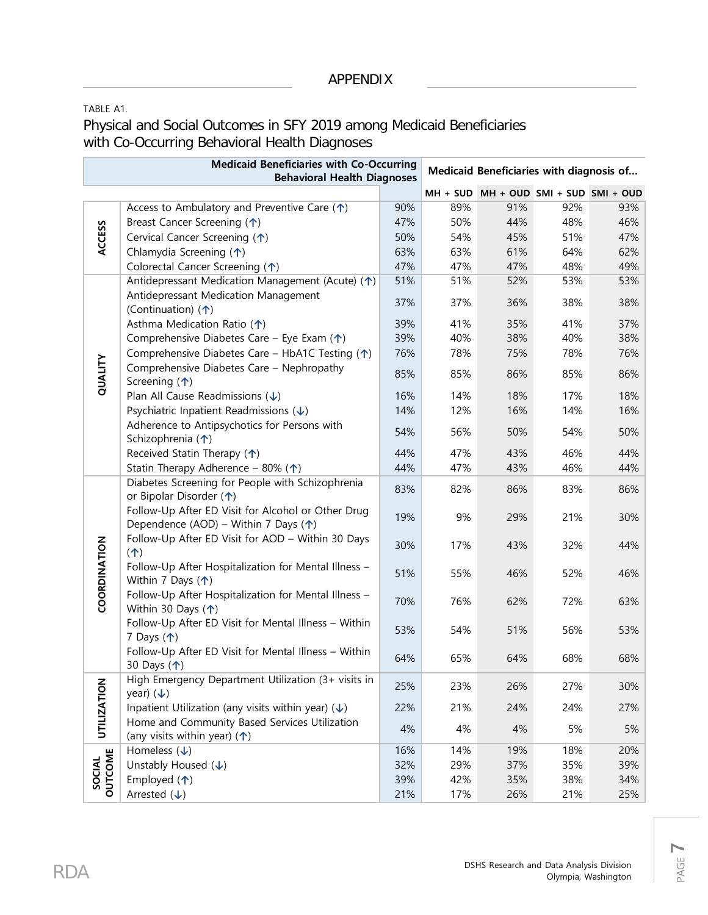### APPENDIX

TABLE A1.

Physical and Social Outcomes in SFY 2019 among Medicaid Beneficiaries with Co-Occurring Behavioral Health Diagnoses

| <b>Medicaid Beneficiaries with Co-Occurring</b> |                                                                                                       | Medicaid Beneficiaries with diagnosis of |     |                                       |     |     |  |  |
|-------------------------------------------------|-------------------------------------------------------------------------------------------------------|------------------------------------------|-----|---------------------------------------|-----|-----|--|--|
|                                                 | <b>Behavioral Health Diagnoses</b>                                                                    |                                          |     |                                       |     |     |  |  |
|                                                 |                                                                                                       |                                          |     | MH + SUD MH + OUD SMI + SUD SMI + OUD |     |     |  |  |
| <b>ACCESS</b>                                   | Access to Ambulatory and Preventive Care $(\uparrow)$                                                 | 90%                                      | 89% | 91%                                   | 92% | 93% |  |  |
|                                                 | Breast Cancer Screening (1)                                                                           | 47%                                      | 50% | 44%                                   | 48% | 46% |  |  |
|                                                 | Cervical Cancer Screening (个)                                                                         | 50%                                      | 54% | 45%                                   | 51% | 47% |  |  |
|                                                 | Chlamydia Screening (1)                                                                               | 63%                                      | 63% | 61%                                   | 64% | 62% |  |  |
|                                                 | Colorectal Cancer Screening (1)                                                                       | 47%                                      | 47% | 47%                                   | 48% | 49% |  |  |
|                                                 | Antidepressant Medication Management (Acute) (1)                                                      | 51%                                      | 51% | 52%                                   | 53% | 53% |  |  |
|                                                 | Antidepressant Medication Management<br>(Continuation) (个)                                            | 37%                                      | 37% | 36%                                   | 38% | 38% |  |  |
|                                                 | Asthma Medication Ratio $($ <sup><math>\uparrow</math></sup> )                                        | 39%                                      | 41% | 35%                                   | 41% | 37% |  |  |
|                                                 | Comprehensive Diabetes Care - Eye Exam $(\uparrow)$                                                   | 39%                                      | 40% | 38%                                   | 40% | 38% |  |  |
|                                                 | Comprehensive Diabetes Care - HbA1C Testing $(\uparrow)$                                              | 76%                                      | 78% | 75%                                   | 78% | 76% |  |  |
| QUALITY                                         | Comprehensive Diabetes Care - Nephropathy<br>Screening $($ <sup><math>\uparrow</math></sup> )         | 85%                                      | 85% | 86%                                   | 85% | 86% |  |  |
|                                                 | Plan All Cause Readmissions $(\downarrow)$                                                            | 16%                                      | 14% | 18%                                   | 17% | 18% |  |  |
|                                                 | Psychiatric Inpatient Readmissions $(\downarrow)$                                                     | 14%                                      | 12% | 16%                                   | 14% | 16% |  |  |
|                                                 | Adherence to Antipsychotics for Persons with                                                          | 54%                                      | 56% | 50%                                   | 54% | 50% |  |  |
|                                                 | Schizophrenia (个)                                                                                     |                                          |     |                                       |     |     |  |  |
|                                                 | Received Statin Therapy $($ <sup><math>\uparrow</math></sup> )                                        | 44%                                      | 47% | 43%                                   | 46% | 44% |  |  |
|                                                 | Statin Therapy Adherence - 80% ( $\uparrow$ )                                                         | 44%                                      | 47% | 43%                                   | 46% | 44% |  |  |
| COORDINATION                                    | Diabetes Screening for People with Schizophrenia<br>or Bipolar Disorder (个)                           | 83%                                      | 82% | 86%                                   | 83% | 86% |  |  |
|                                                 | Follow-Up After ED Visit for Alcohol or Other Drug<br>Dependence (AOD) – Within 7 Days ( $\uparrow$ ) | 19%                                      | 9%  | 29%                                   | 21% | 30% |  |  |
|                                                 | Follow-Up After ED Visit for AOD - Within 30 Days<br>(1)                                              | 30%                                      | 17% | 43%                                   | 32% | 44% |  |  |
|                                                 | Follow-Up After Hospitalization for Mental Illness -<br>Within 7 Days $($ <sup>1</sup> )              | 51%                                      | 55% | 46%                                   | 52% | 46% |  |  |
|                                                 | Follow-Up After Hospitalization for Mental Illness -<br>Within 30 Days $($ <sup>1</sup> )             | 70%                                      | 76% | 62%                                   | 72% | 63% |  |  |
|                                                 | Follow-Up After ED Visit for Mental Illness - Within<br>7 Days $($ <sup>1</sup> $)$                   | 53%                                      | 54% | 51%                                   | 56% | 53% |  |  |
|                                                 | Follow-Up After ED Visit for Mental Illness - Within<br>30 Days $($ <sup>1</sup> $)$                  | 64%                                      | 65% | 64%                                   | 68% | 68% |  |  |
| <b>UTILIZATION</b>                              | High Emergency Department Utilization (3+ visits in<br>year) $(\downarrow)$                           | 25%                                      | 23% | 26%                                   | 27% | 30% |  |  |
|                                                 | Inpatient Utilization (any visits within year) $(\downarrow)$                                         | 22%                                      | 21% | 24%                                   | 24% | 27% |  |  |
|                                                 | Home and Community Based Services Utilization                                                         | 4%                                       | 4%  | 4%                                    | 5%  | 5%  |  |  |
|                                                 | (any visits within year) $($ <sup><math>\uparrow</math></sup> )                                       |                                          |     |                                       |     |     |  |  |
| SOCIAL<br>OUTCOME                               | Homeless $(\downarrow)$                                                                               | 16%                                      | 14% | 19%                                   | 18% | 20% |  |  |
|                                                 | Unstably Housed $(\downarrow)$                                                                        | 32%                                      | 29% | 37%                                   | 35% | 39% |  |  |
|                                                 | Employed $($ 1)                                                                                       | 39%                                      | 42% | 35%                                   | 38% | 34% |  |  |
|                                                 | Arrested $(\downarrow)$                                                                               | 21%                                      | 17% | 26%                                   | 21% | 25% |  |  |